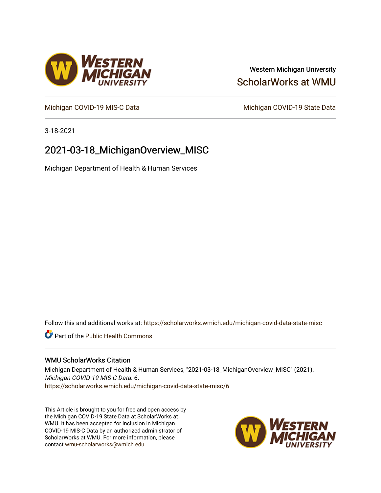### Western Michigan University [ScholarWorks at WMU](https://scholarworks.wmich.edu/)

[Michigan COVID-19 MIS-C Data](https://scholarworks.wmich.edu/michigan-covid-data-state-misc) Michigan COVID-19 State Data

3-18-2021

## 2021-03-18\_MichiganOverview\_MISC

Michigan Department of Health & Human Services

Follow this and additional works at: [https://scholarworks.wmich.edu/michigan-covid-data-state-misc](https://scholarworks.wmich.edu/michigan-covid-data-state-misc?utm_source=scholarworks.wmich.edu%2Fmichigan-covid-data-state-misc%2F6&utm_medium=PDF&utm_campaign=PDFCoverPages) 

**Part of the Public Health Commons** 

#### WMU ScholarWorks Citation

Michigan Department of Health & Human Services, "2021-03-18\_MichiganOverview\_MISC" (2021). Michigan COVID-19 MIS-C Data. 6. [https://scholarworks.wmich.edu/michigan-covid-data-state-misc/6](https://scholarworks.wmich.edu/michigan-covid-data-state-misc/6?utm_source=scholarworks.wmich.edu%2Fmichigan-covid-data-state-misc%2F6&utm_medium=PDF&utm_campaign=PDFCoverPages) 

This Article is brought to you for free and open access by the Michigan COVID-19 State Data at ScholarWorks at WMU. It has been accepted for inclusion in Michigan COVID-19 MIS-C Data by an authorized administrator of ScholarWorks at WMU. For more information, please contact [wmu-scholarworks@wmich.edu](mailto:wmu-scholarworks@wmich.edu).



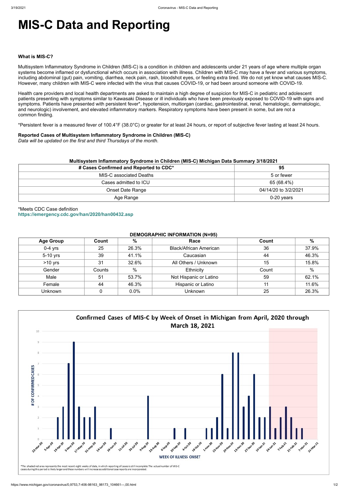# **MIS-C Data and Reporting**

#### **What is MIS-C?**

Multisystem Inflammatory Syndrome in Children (MIS-C) is a condition in children and adolescents under 21 years of age where multiple organ systems become inflamed or dysfunctional which occurs in association with illness. Children with MIS-C may have a fever and various symptoms, including abdominal (gut) pain, vomiting, diarrhea, neck pain, rash, bloodshot eyes, or feeling extra tired. We do not yet know what causes MIS-C. However, many children with MIS-C were infected with the virus that causes COVID-19, or had been around someone with COVID-19.

Health care providers and local health departments are asked to maintain a high degree of suspicion for MIS-C in pediatric and adolescent patients presenting with symptoms similar to Kawasaki Disease or ill individuals who have been previously exposed to COVID-19 with signs and symptoms. Patients have presented with persistent fever\*, hypotension, multiorgan (cardiac, gastrointestinal, renal, hematologic, dermatologic, and neurologic) involvement, and elevated inflammatory markers. Respiratory symptoms have been present in some, but are not a common finding.

\*Persistent fever is a measured fever of 100.4°F (38.0°C) or greater for at least 24 hours, or report of subjective fever lasting at least 24 hours.

#### **Reported Cases of Multisystem Inflammatory Syndrome in Children (MIS-C)**

*Data will be updated on the first and third Thursdays of the month.*

| Multisystem Inflammatory Syndrome in Children (MIS-C) Michigan Data Summary 3/18/2021<br># Cases Confirmed and Reported to CDC* | 95                   |
|---------------------------------------------------------------------------------------------------------------------------------|----------------------|
| <b>MIS-C associated Deaths</b>                                                                                                  | 5 or fewer           |
| Cases admitted to ICU                                                                                                           | 65 (68.4%)           |
| <b>Onset Date Range</b>                                                                                                         | 04/14/20 to 3/2/2021 |
| Age Range                                                                                                                       | $0-20$ years         |

\*Meets CDC Case definition **<https://emergency.cdc.gov/han/2020/han00432.asp>**

#### **DEMOGRAPHIC INFORMATION (N=95)**

| <b>Age Group</b> | Count  | %     | Race                          | Count | $\%$  |
|------------------|--------|-------|-------------------------------|-------|-------|
| $0-4$ yrs        | 25     | 26.3% | <b>Black/African American</b> | 36    | 37.9% |
| 5-10 yrs         | 39     | 41.1% | Caucasian                     | 44    | 46.3% |
| $>10$ yrs        | 31     | 32.6% | All Others / Unknown          | 15    | 15.8% |
| Gender           | Counts | %     | Ethnicity                     | Count | $\%$  |
| Male             | 51     | 53.7% | Not Hispanic or Latino        | 59    | 62.1% |
| Female           | 44     | 46.3% | Hispanic or Latino            | 11    | 11.6% |
| <b>Unknown</b>   |        | 0.0%  | <b>Unknown</b>                | 25    | 26.3% |